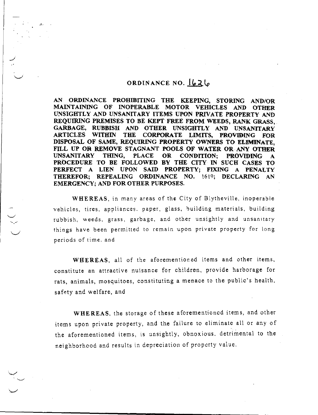## ORDINANCE NO. 626

AN ORDINANCE PROHIBITING THE KEEPING, STORING AND/OR MAINTAINING OF INOPERABLE MOTOR VEHICLES AND OTHER UNSIGHTLY AND UNSANITARY ITEMS UPON PRIVATE PROPERTY AND REQUIRING PREMISES TO BE KEPT FREE FROM WEEDS, RANK GRASS, GARBAGE, RUBBISH AND OTHER UNSIGHTLY AND UNSANITARY ARTICLES WITHIN THE CORPORATE LIMITS, PROVIDING FOR DISPOSAL OF SAME, REQUIRING PROPERTY OWNERS TO ELIMINATE, FILL UP OR REMOVE STAGNANT POOLS OF WATER OR ANY OTHER UNSANITARY THING, PLACE OR CONDITION: PROVIDING A OR CONDITION: PROVIDING A PROCEDURE TO BE FOLLOWED BY THE CITY IN SUCH CASES TO PERFECT A LIEN UPON SAID PROPERTY; FIXING A PENALTY THEREFOR; REPEALING ORDINANCE NO. 1614; DECLARING AN EMERGENCY; AND FOR OTHER PURPOSES.

WHEREAS, in many areas of the City of Blytheville, inoperable vehicles, tires, appliances. paper, glass, building materials, building rubbish, weeds, grass, garbage, and other unsightly and unsanitary things have been permitted to remain upon private property for long periods of time. and

WHEREAS, all of the aforementioned items and other items, constitute an attractive nuisance for children, provide harborage for rats, animals, mosquitoes, constituting a menace to the public's health, safety and welfare, and

WHEREAS, the storage of these aforementioned items, and other items upon private property, and the failure to eliminate all or any of the aforementioned items, is unsightly, obnoxious. detrimental to the neighborhood and results in depreciation of property value.

-i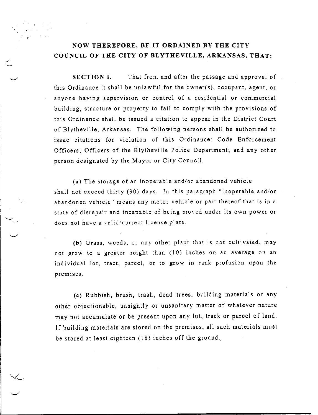## NOW THEREFORE, BE IT ORDAINED BY THE CITY COUNCIL OF THE CITY OF BLYTHEVILLE, ARKANSAS, THAT:

SECTION I. That from and after the passage and approval of this Ordinance it shall be unlawful for the owner(s), occupant, agent, or anyone having supervision or control of a residential or commercial building, structure or property to fail to comply with the provisions of this Ordinance shall be issued a citation to appear in the District Court of Blytheville, Arkansas. The following persons shall be authorized to issue citations for violation of this Ordinance: Code Enforcement Officers; Officers of the Blytheville Police Department; and any other person designated by the Mayor or City Council.

(a) The storage of an inoperable and/or abandoned vehicle shall not exceed thirty (30) days. In this paragraph "inoperable and/or abandoned vehicle" means any motor vehicle or part thereof that is in a state of disrepair and incapable of being moved under its own power or does not have a valid/current license plate.

(b) Grass, weeds, or any other plant that is not cultivated, may not grow to a greater height than (10) inches on an average on an individual lot, tract, parcel; or to grow in rank profusion upon the premises.

(c) Rubbish, brush, trash, dead trees, building materials or any other objectionable, unsightly or unsanitary matter of whatever nature may not accumulate or be present upon any lot, track or parcel of land. If building materials are stored on the premises, all such materials must be stored at least eighteen (18) inches off the ground.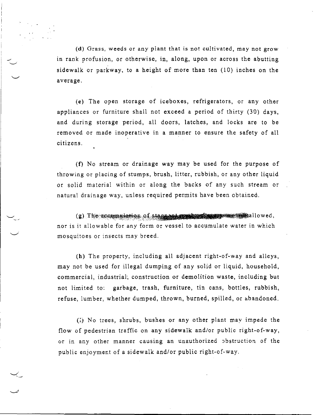(d) Grass, weeds or any plant that is not cultivated, may not grow in rank profusion, or otherwise, in, along, upon or across the abutting sidewalk or parkway, to a height of more than ten (10) inches on the average.

(e) The open storage of iceboxes, refrigerators, or any other appliances or furniture shall not exceed a period of thirty (30) days, and during storage period, all doors, latches, and locks are to be removed or made inoperative in a manner to ensure the safety of all citizens.

(f) No stream or drainage way may be used for the purpose of throwing or placing of stumps, brush, litter, rubbish, or any other liquid or solid material within or along the backs of any such stream or natural drainage way, unless required permits have been obtained.

(g) The accumulation of stagnant modes of successive modes allowed, nor is it allowable for any form or vessel to accumulate water in which mosquitoes or insects may breed.

(h) The property, including all adjacent right-of-way and alleys, may not be used for illegal dumping of any solid or liquid, household, commercial, industrial, construction or demolition waste, including but not limited to: garbage, trash, furniture, tin cans, bottles, rubbish, refuse, lumber, whether dumped, thrown, burned, spilled, or abandoned.

(1) No trees, shrubs, bushes or any other plant may impede the flow of pedestrian traffic on any sidewalk and/or public right-of-way, or in any other manner causing an unauthorized obstruction of the public enjoyment of a sidewalk and/or public right-of-way.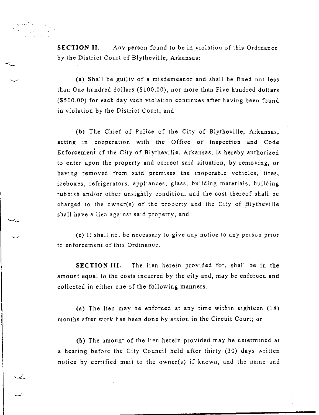SECTION II. Any person found to be in violation of this Ordinance by the District Court of Blytheville, Arkansas:

(a) Shall be guilty of a misdemeanor and shall be fined not less than One hundred dollars (\$100.00), nor more than Five hundred dollars (\$500.00) for each day such violation continues after having been found in violation by the District Court; and

(b) The Chief of Police of the City of Blytheville, Arkansas, acting in cooperation with the Office of Inspection and Code Enforcemeni of the City of Blytheville, Arkansas, is hereby authorized to enter upon the property and correct said situation, by removing, or having removed from said premises the inoperable vehicles, tires, iceboxes, refrigerators, appliances, glass, building materials, building rubbish and/or other unsightly condition, and the cost thereof shall be charged to the owner(s) of the property and the City of Blytheville shall have a lien against said property; and

(c) It shall not be necessary to give any notice to any person prior to enforcement of this Ordinance.

SECTION III. The lien herein provided for, shall be in the amount equal to the costs incurred by the city and, may be enforced and collected in either one of the following manners.

(a) The lien may be enforced at any time within eighteen (18) months after work has been done by action in the Circuit Court; or

(b) The amount of the lien herein provided may be determined at a hearing before the City Council held after thirty (30) days written notice by certified mail to the owner(s) if known, and the name and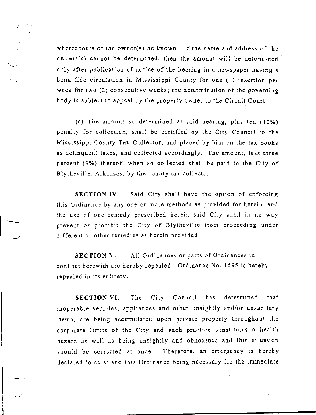whereabouts of the owner(s) be known. If the name and address of the owners(s) cannot be determined, then the amount will be determined only after publication of notice of the hearing in a newspaper having a bona fide circulation in Mississippi County for one (1) insertion per week for two (2) consecutive weeks; the determination of the governing body is subject to appeal by the property owner to the Circuit Court.

(c) The amount so determined at said hearing, plus ten (10%) penalty for collection, shall be certified by the City Council to the Mississippi County Tax Collector, and placed by him on the tax books as delinquent taxes, and collected accordingly. The amount, less three percent (3%) thereof, when so collected shall be paid to the City of Blytheville, Arkansas, by the county tax collector.

SECTION IV. Said City shall have the option of enforcing this Ordinance by any one or more methods as provided for herein, and the use of one remedy prescribed herein said City shall in no way prevent or prohibit the City of Blytheville from proceeding under different or other remedies as herein provided.

SECTION V. All Ordinances or parts of Ordinances in conflict herewith are hereby repealed. Ordinance No. 1595 is hereby repealed in its entirety.

SECTION VI. The City Council has determined that inoperable vehicles, appliances and other unsightly and/or unsanitary items, are being accumulated upon private property throughout the corporate limits of the City and such practice constitutes a health hazard as well as being unsightly and obnoxious and this situation should be corrected at once. Therefore, an emergency is hereby declared to exist and this Ordinance being necessary for the immediate